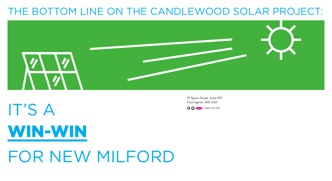### THE BOTTOM LINE ON THE CANDLEWOOD SOLAR PROJECT:



# IT'S A WIN-WIN FOR NEW MILFORD

111 Speen Street, Suite 410 Framingham, MA USA